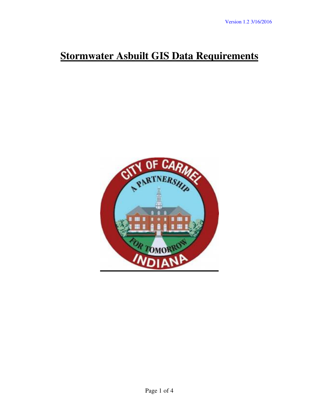## **Stormwater Asbuilt GIS Data Requirements**

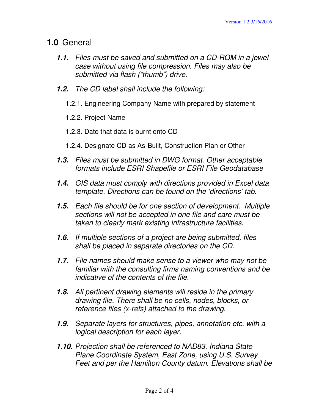## **1.0** General

- **1.1.** Files must be saved and submitted on a CD-ROM in a jewel case without using file compression. Files may also be submitted via flash ("thumb") drive.
- **1.2.** The CD label shall include the following:
	- 1.2.1. Engineering Company Name with prepared by statement
	- 1.2.2. Project Name
	- 1.2.3. Date that data is burnt onto CD
	- 1.2.4. Designate CD as As-Built, Construction Plan or Other
- **1.3.** Files must be submitted in DWG format. Other acceptable formats include ESRI Shapefile or ESRI File Geodatabase
- **1.4.** GIS data must comply with directions provided in Excel data template. Directions can be found on the 'directions' tab.
- **1.5.** Each file should be for one section of development. Multiple sections will not be accepted in one file and care must be taken to clearly mark existing infrastructure facilities.
- **1.6.** If multiple sections of a project are being submitted, files shall be placed in separate directories on the CD.
- **1.7.** File names should make sense to a viewer who may not be familiar with the consulting firms naming conventions and be indicative of the contents of the file.
- **1.8.** All pertinent drawing elements will reside in the primary drawing file. There shall be no cells, nodes, blocks, or reference files (x-refs) attached to the drawing.
- **1.9.** Separate layers for structures, pipes, annotation etc. with a logical description for each layer.
- **1.10.** Projection shall be referenced to NAD83, Indiana State Plane Coordinate System, East Zone, using U.S. Survey Feet and per the Hamilton County datum. Elevations shall be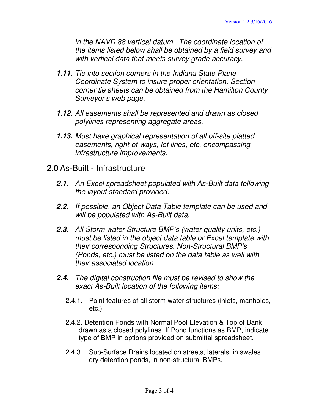in the NAVD 88 vertical datum. The coordinate location of the items listed below shall be obtained by a field survey and with vertical data that meets survey grade accuracy.

- **1.11.** Tie into section corners in the Indiana State Plane Coordinate System to insure proper orientation. Section corner tie sheets can be obtained from the Hamilton County Surveyor's web page.
- **1.12.** All easements shall be represented and drawn as closed polylines representing aggregate areas.
- **1.13.** Must have graphical representation of all off-site platted easements, right-of-ways, lot lines, etc. encompassing infrastructure improvements.
- **2.0** As-Built Infrastructure
	- **2.1.** An Excel spreadsheet populated with As-Built data following the layout standard provided.
	- **2.2.** If possible, an Object Data Table template can be used and will be populated with As-Built data.
	- **2.3.** All Storm water Structure BMP's (water quality units, etc.) must be listed in the object data table or Excel template with their corresponding Structures. Non-Structural BMP's (Ponds, etc.) must be listed on the data table as well with their associated location.
	- **2.4.** The digital construction file must be revised to show the exact As-Built location of the following items:
		- 2.4.1. Point features of all storm water structures (inlets, manholes, etc.)
		- 2.4.2. Detention Ponds with Normal Pool Elevation & Top of Bank drawn as a closed polylines. If Pond functions as BMP, indicate type of BMP in options provided on submittal spreadsheet.
		- 2.4.3. Sub-Surface Drains located on streets, laterals, in swales, dry detention ponds, in non-structural BMPs.